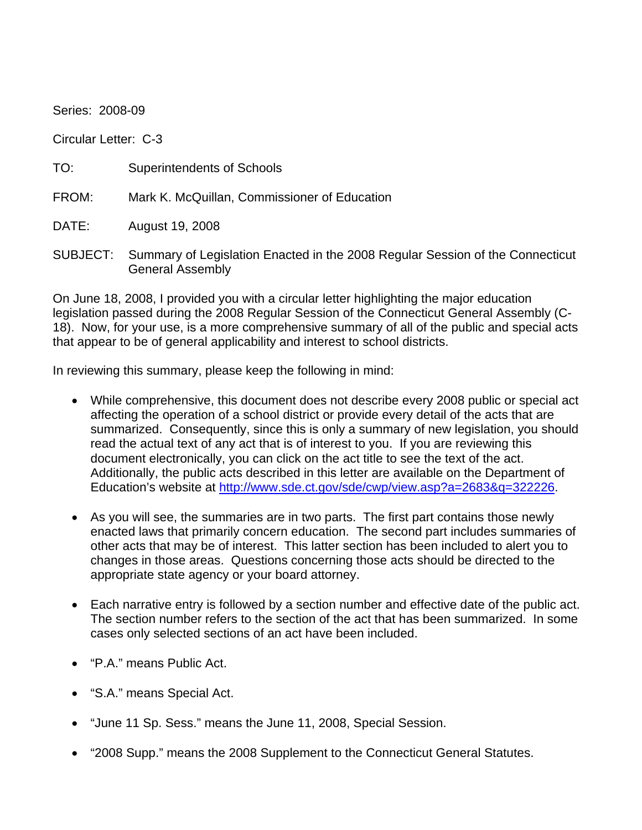Series: 2008-09 Circular Letter: C-3 TO: Superintendents of Schools FROM: Mark K. McQuillan, Commissioner of Education DATE: August 19, 2008

SUBJECT: Summary of Legislation Enacted in the 2008 Regular Session of the Connecticut General Assembly

On June 18, 2008, I provided you with a circular letter highlighting the major education legislation passed during the 2008 Regular Session of the Connecticut General Assembly (C-18). Now, for your use, is a more comprehensive summary of all of the public and special acts that appear to be of general applicability and interest to school districts.

In reviewing this summary, please keep the following in mind:

- While comprehensive, this document does not describe every 2008 public or special act affecting the operation of a school district or provide every detail of the acts that are summarized. Consequently, since this is only a summary of new legislation, you should read the actual text of any act that is of interest to you. If you are reviewing this document electronically, you can click on the act title to see the text of the act. Additionally, the public acts described in this letter are available on the Department of Education's website at<http://www.sde.ct.gov/sde/cwp/view.asp?a=2683&q=322226>.
- As you will see, the summaries are in two parts. The first part contains those newly enacted laws that primarily concern education. The second part includes summaries of other acts that may be of interest. This latter section has been included to alert you to changes in those areas. Questions concerning those acts should be directed to the appropriate state agency or your board attorney.
- Each narrative entry is followed by a section number and effective date of the public act. The section number refers to the section of the act that has been summarized. In some cases only selected sections of an act have been included.
- "P.A." means Public Act.
- "S.A." means Special Act.
- "June 11 Sp. Sess." means the June 11, 2008, Special Session.
- "2008 Supp." means the 2008 Supplement to the Connecticut General Statutes.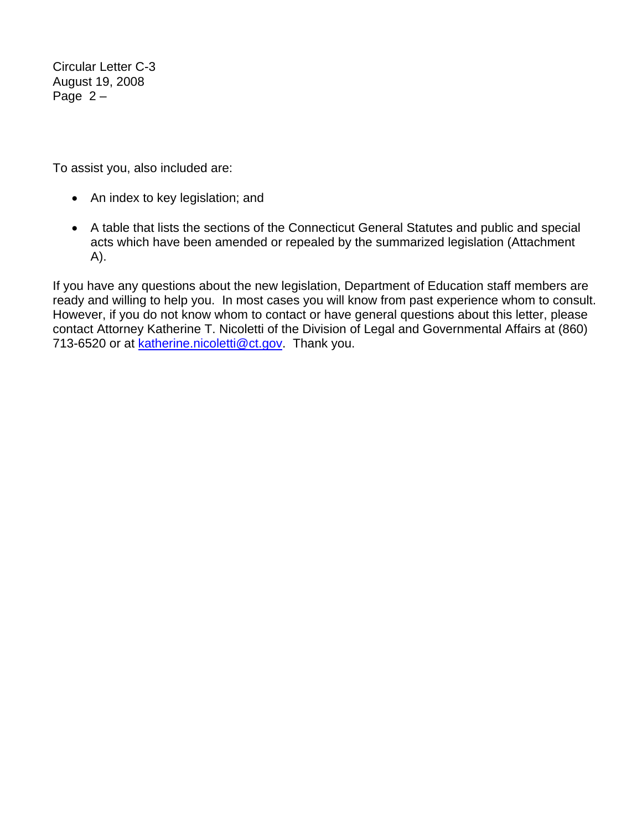Circular Letter C-3 August 19, 2008 Page  $2 -$ 

To assist you, also included are:

- An index to key legislation; and
- A table that lists the sections of the Connecticut General Statutes and public and special acts which have been amended or repealed by the summarized legislation (Attachment A).

If you have any questions about the new legislation, Department of Education staff members are ready and willing to help you. In most cases you will know from past experience whom to consult. However, if you do not know whom to contact or have general questions about this letter, please contact Attorney Katherine T. Nicoletti of the Division of Legal and Governmental Affairs at (860) 713-6520 or at [katherine.nicoletti@ct.gov](mailto:katherine.nicoletti@ct.gov). Thank you.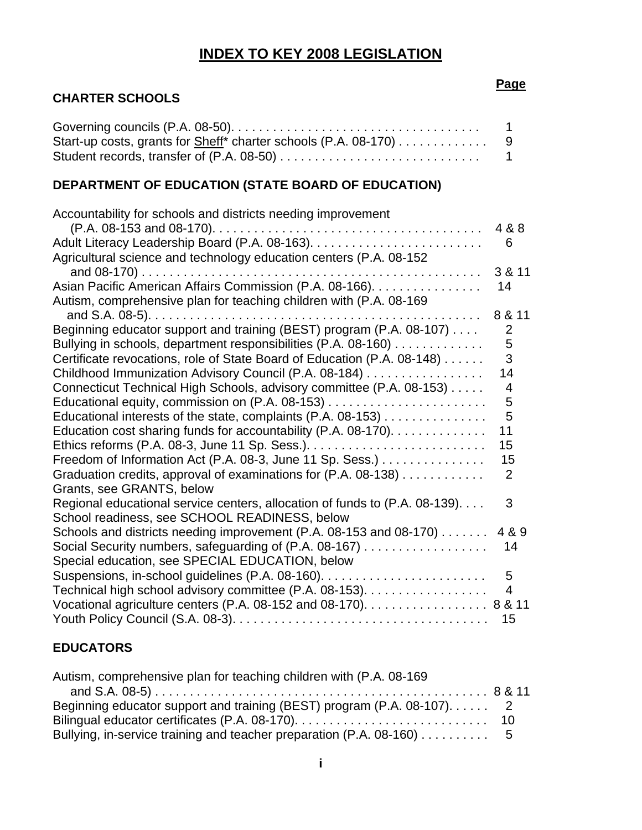# **INDEX TO KEY 2008 LEGISLATION**

# **CHARTER SCHOOLS**

| Start-up costs, grants for Sheff* charter schools (P.A. 08-170) 9 |  |
|-------------------------------------------------------------------|--|
|                                                                   |  |

# **DEPARTMENT OF EDUCATION (STATE BOARD OF EDUCATION)**

| Accountability for schools and districts needing improvement                                                |                |
|-------------------------------------------------------------------------------------------------------------|----------------|
|                                                                                                             | 4 & 8          |
|                                                                                                             | 6              |
| Agricultural science and technology education centers (P.A. 08-152                                          |                |
|                                                                                                             | 3 & 11         |
| Asian Pacific American Affairs Commission (P.A. 08-166).                                                    | 14             |
| Autism, comprehensive plan for teaching children with (P.A. 08-169                                          |                |
|                                                                                                             | 8 & 11         |
| Beginning educator support and training (BEST) program (P.A. 08-107)                                        | $\overline{2}$ |
| Bullying in schools, department responsibilities (P.A. 08-160)                                              | 5              |
| Certificate revocations, role of State Board of Education (P.A. 08-148)                                     | 3              |
| Childhood Immunization Advisory Council (P.A. 08-184)                                                       | 14             |
| Connecticut Technical High Schools, advisory committee (P.A. 08-153)                                        | 4              |
|                                                                                                             | 5              |
| Educational interests of the state, complaints (P.A. 08-153)                                                | 5              |
| Education cost sharing funds for accountability (P.A. 08-170).                                              | 11             |
|                                                                                                             | 15             |
| Freedom of Information Act (P.A. 08-3, June 11 Sp. Sess.)                                                   | 15             |
| Graduation credits, approval of examinations for (P.A. 08-138)                                              | $\overline{2}$ |
| Grants, see GRANTS, below                                                                                   |                |
| Regional educational service centers, allocation of funds to (P.A. 08-139).                                 | 3              |
| School readiness, see SCHOOL READINESS, below                                                               |                |
| Schools and districts needing improvement (P.A. 08-153 and 08-170)                                          | 4 & 9          |
| Social Security numbers, safeguarding of (P.A. 08-167)                                                      | 14             |
| Special education, see SPECIAL EDUCATION, below                                                             |                |
|                                                                                                             | $5\phantom{1}$ |
| Technical high school advisory committee (P.A. 08-153).                                                     | 4              |
| Vocational agriculture centers (P.A. 08-152 and 08-170). $\ldots \ldots \ldots \ldots \ldots \ldots$ 8 & 11 |                |
|                                                                                                             | 15             |

# **EDUCATORS**

| Autism, comprehensive plan for teaching children with (P.A. 08-169)     |  |
|-------------------------------------------------------------------------|--|
|                                                                         |  |
| Beginning educator support and training (BEST) program (P.A. 08-107). 2 |  |
|                                                                         |  |
| Bullying, in-service training and teacher preparation (P.A. 08-160) 5   |  |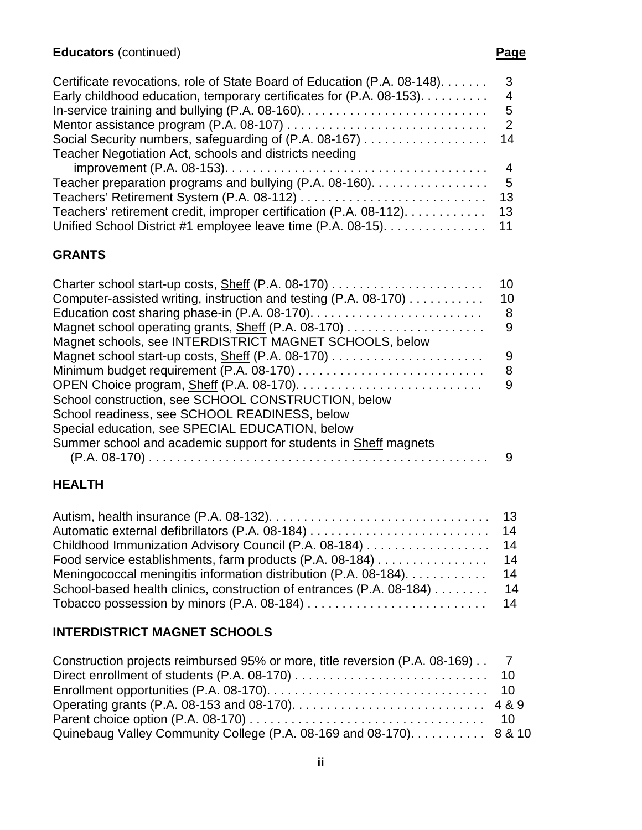#### Certificate revocations, role of State Board of Education (P.A. 08-148). . . . . . . 3 Early childhood education, temporary certificates for (P.A. 08-153). . . . . . . . . . 4 In-service training and bullying (P.A. 08-160). . . . . . . . . . . . . . . . . . . . . . . . . . . 5 Mentor assistance program (P.A. 08-107) . . . . . . . . . . . . . . . . . . . . . . . . . . . . . 2 Social Security numbers, safeguarding of (P.A. 08-167) . . . . . . . . . . . . . . . . . . 14 Teacher Negotiation Act, schools and districts needing improvement (P.A. 08-153). . . . . . . . . . . . . . . . . . . . . . . . . . . . . . . . . . . . . . 4 Teacher preparation programs and bullying (P.A. 08-160). . . . . . . . . . . . . . . . . 5 Teachers' Retirement System (P.A. 08-112) . . . . . . . . . . . . . . . . . . . . . . . . . . . 13 Teachers' retirement credit, improper certification (P.A. 08-112). . . . . . . . . . . . 13 Unified School District #1 employee leave time (P.A. 08-15). . . . . . . . . . . . . . . 11

# **GRANTS**

|                                                                  | 10 |
|------------------------------------------------------------------|----|
| Computer-assisted writing, instruction and testing (P.A. 08-170) | 10 |
|                                                                  | 8  |
| Magnet school operating grants, Sheff (P.A. 08-170)              | 9  |
| Magnet schools, see INTERDISTRICT MAGNET SCHOOLS, below          |    |
|                                                                  | 9  |
|                                                                  | 8  |
|                                                                  | 9  |
| School construction, see SCHOOL CONSTRUCTION, below              |    |
| School readiness, see SCHOOL READINESS, below                    |    |
| Special education, see SPECIAL EDUCATION, below                  |    |
| Summer school and academic support for students in Sheff magnets |    |
|                                                                  | 9  |
|                                                                  |    |

# **HEALTH**

| Childhood Immunization Advisory Council (P.A. 08-184) 14                |  |
|-------------------------------------------------------------------------|--|
| Food service establishments, farm products (P.A. 08-184) 14             |  |
| Meningococcal meningitis information distribution (P.A. 08-184). 14     |  |
| School-based health clinics, construction of entrances (P.A. 08-184) 14 |  |
|                                                                         |  |

# **INTERDISTRICT MAGNET SCHOOLS**

| Construction projects reimbursed 95% or more, title reversion (P.A. 08-169) 7 |  |
|-------------------------------------------------------------------------------|--|
|                                                                               |  |
|                                                                               |  |
|                                                                               |  |
|                                                                               |  |
| Quinebaug Valley Community College (P.A. 08-169 and 08-170). 8 & 10           |  |

**ii**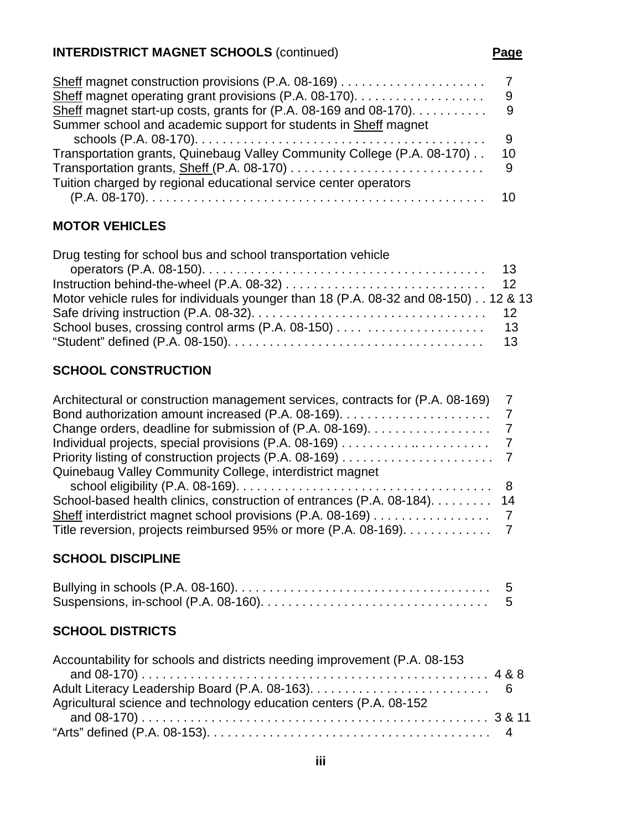# **INTERDISTRICT MAGNET SCHOOLS** (continued) **Page**

| 9   |
|-----|
| - 9 |
|     |
| 9   |
| 10  |
|     |
|     |
|     |
|     |

# **MOTOR VEHICLES**

| Drug testing for school bus and school transportation vehicle                        |  |
|--------------------------------------------------------------------------------------|--|
|                                                                                      |  |
|                                                                                      |  |
| Motor vehicle rules for individuals younger than 18 (P.A. 08-32 and 08-150). 12 & 13 |  |
|                                                                                      |  |
|                                                                                      |  |
|                                                                                      |  |

# **SCHOOL CONSTRUCTION**

| Architectural or construction management services, contracts for (P.A. 08-169)                                   |  |
|------------------------------------------------------------------------------------------------------------------|--|
|                                                                                                                  |  |
| Change orders, deadline for submission of (P.A. 08-169). 7                                                       |  |
|                                                                                                                  |  |
|                                                                                                                  |  |
| Quinebaug Valley Community College, interdistrict magnet                                                         |  |
| school eligibility (P.A. 08-169). $\ldots \ldots \ldots \ldots \ldots \ldots \ldots \ldots \ldots \ldots \ldots$ |  |
| School-based health clinics, construction of entrances (P.A. 08-184). 14                                         |  |
|                                                                                                                  |  |
| Title reversion, projects reimbursed 95% or more (P.A. 08-169). 7                                                |  |

# **SCHOOL DISCIPLINE**

# **SCHOOL DISTRICTS**

| Accountability for schools and districts needing improvement (P.A. 08-153 |  |
|---------------------------------------------------------------------------|--|
|                                                                           |  |
|                                                                           |  |
| Agricultural science and technology education centers (P.A. 08-152)       |  |
|                                                                           |  |
|                                                                           |  |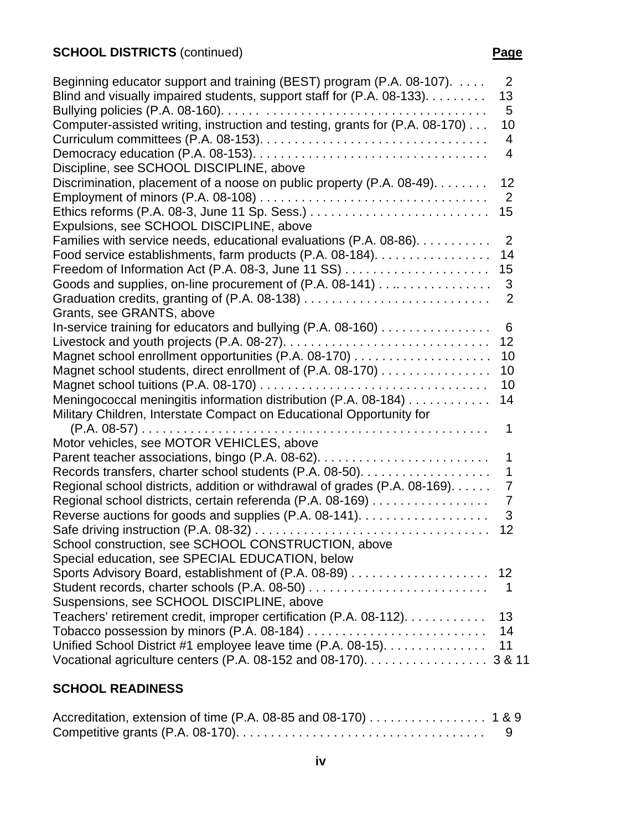| Beginning educator support and training (BEST) program (P.A. 08-107).        | $\overline{2}$ |
|------------------------------------------------------------------------------|----------------|
| Blind and visually impaired students, support staff for (P.A. 08-133).       | 13             |
|                                                                              | 5              |
| Computer-assisted writing, instruction and testing, grants for (P.A. 08-170) | 10             |
|                                                                              | 4              |
|                                                                              | 4              |
| Discipline, see SCHOOL DISCIPLINE, above                                     |                |
| Discrimination, placement of a noose on public property (P.A. 08-49).        | 12             |
|                                                                              | $\overline{2}$ |
|                                                                              | 15             |
| Expulsions, see SCHOOL DISCIPLINE, above                                     |                |
| Families with service needs, educational evaluations (P.A. 08-86).           | 2              |
| Food service establishments, farm products (P.A. 08-184).                    | 14             |
|                                                                              | 15             |
| Goods and supplies, on-line procurement of (P.A. 08-141)                     | 3              |
|                                                                              | $\overline{2}$ |
| Grants, see GRANTS, above                                                    |                |
| In-service training for educators and bullying (P.A. 08-160)                 | 6              |
|                                                                              | 12             |
|                                                                              | 10             |
| Magnet school students, direct enrollment of (P.A. 08-170)                   | 10             |
|                                                                              | 10             |
| Meningococcal meningitis information distribution (P.A. 08-184)              | 14             |
| Military Children, Interstate Compact on Educational Opportunity for         |                |
|                                                                              | 1              |
| Motor vehicles, see MOTOR VEHICLES, above                                    |                |
|                                                                              | 1              |
| Records transfers, charter school students (P.A. 08-50).                     | 1              |
| Regional school districts, addition or withdrawal of grades (P.A. 08-169).   | $\overline{7}$ |
| Regional school districts, certain referenda (P.A. 08-169)                   | 7              |
| Reverse auctions for goods and supplies (P.A. 08-141).                       | 3              |
|                                                                              | 12             |
| School construction, see SCHOOL CONSTRUCTION, above                          |                |
| Special education, see SPECIAL EDUCATION, below                              |                |
|                                                                              | 12             |
|                                                                              | 1              |
| Suspensions, see SCHOOL DISCIPLINE, above                                    |                |
| Teachers' retirement credit, improper certification (P.A. 08-112).           | 13             |
|                                                                              | 14             |
| Unified School District #1 employee leave time (P.A. 08-15).                 | 11             |
| Vocational agriculture centers (P.A. 08-152 and 08-170).                     | 3 & 11         |

# **SCHOOL READINESS**

| Accreditation, extension of time (P.A. 08-85 and 08-170) 1 & 9 |  |
|----------------------------------------------------------------|--|
|                                                                |  |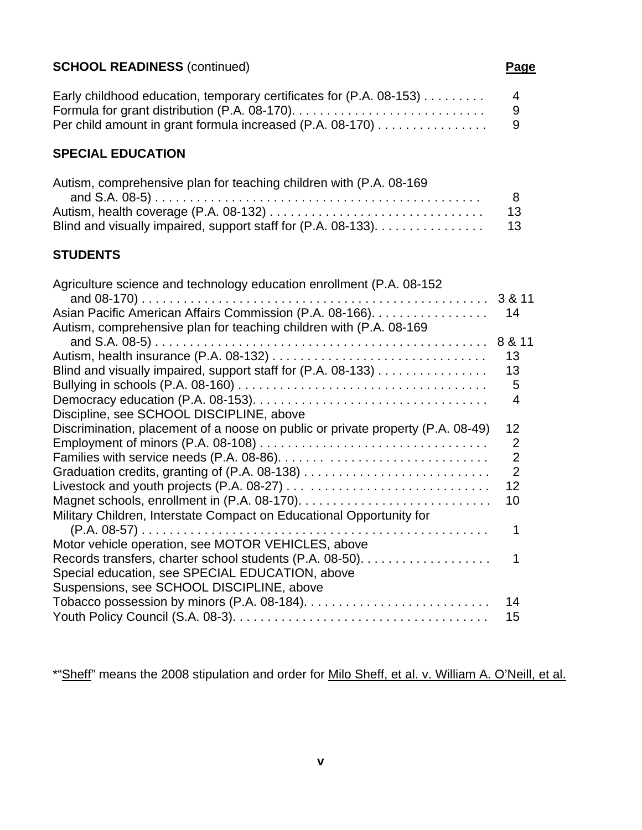# **SCHOOL READINESS** (continued) **Page**

| Early childhood education, temporary certificates for (P.A. 08-153)                   | $\overline{4}$ |
|---------------------------------------------------------------------------------------|----------------|
| Formula for grant distribution (P.A. 08-170). $\ldots$                                | -9             |
| Per child amount in grant formula increased (P.A. 08-170) $\dots\dots\dots\dots\dots$ | -9             |

# **SPECIAL EDUCATION**

| Autism, comprehensive plan for teaching children with (P.A. 08-169) |     |
|---------------------------------------------------------------------|-----|
|                                                                     | -8  |
|                                                                     | 13  |
| Blind and visually impaired, support staff for (P.A. 08-133).       | -13 |

# **STUDENTS**

| Agriculture science and technology education enrollment (P.A. 08-152)           |                |
|---------------------------------------------------------------------------------|----------------|
|                                                                                 | 3 & 11         |
| Asian Pacific American Affairs Commission (P.A. 08-166).                        | 14             |
| Autism, comprehensive plan for teaching children with (P.A. 08-169)             |                |
|                                                                                 | 8 & 11         |
|                                                                                 | 13             |
| Blind and visually impaired, support staff for (P.A. 08-133)                    | 13             |
|                                                                                 | 5              |
|                                                                                 | 4              |
| Discipline, see SCHOOL DISCIPLINE, above                                        |                |
| Discrimination, placement of a noose on public or private property (P.A. 08-49) | 12             |
|                                                                                 | $\overline{2}$ |
|                                                                                 | $\overline{2}$ |
|                                                                                 | $\overline{2}$ |
|                                                                                 | 12             |
|                                                                                 | 10             |
| Military Children, Interstate Compact on Educational Opportunity for            |                |
|                                                                                 |                |
| Motor vehicle operation, see MOTOR VEHICLES, above                              |                |
| Records transfers, charter school students (P.A. 08-50).                        |                |
| Special education, see SPECIAL EDUCATION, above                                 |                |
| Suspensions, see SCHOOL DISCIPLINE, above                                       |                |
|                                                                                 | 14             |
|                                                                                 | 15             |
|                                                                                 |                |

\*"Sheff" means the 2008 stipulation and order for Milo Sheff, et al. v. William A. O'Neill, et al.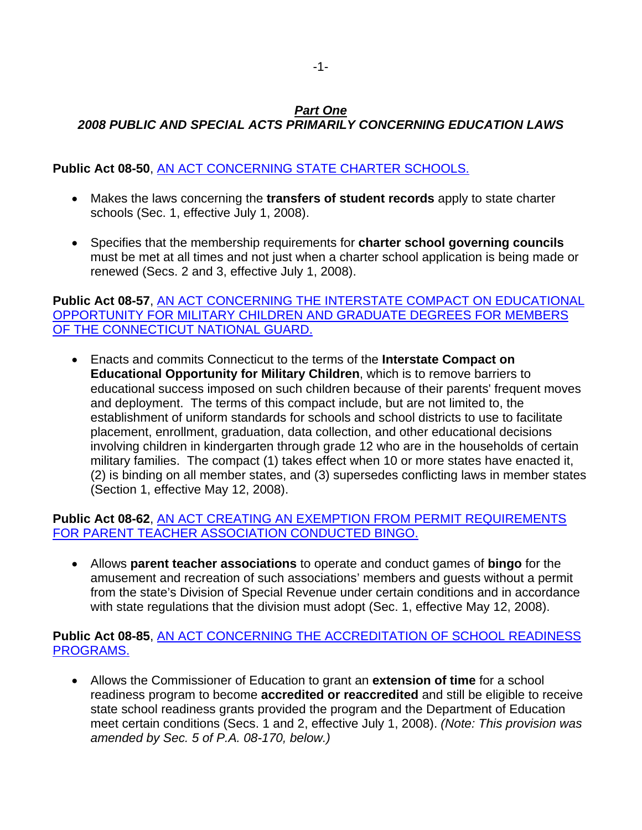# *Part One*

# *2008 PUBLIC AND SPECIAL ACTS PRIMARILY CONCERNING EDUCATION LAWS*

# **Public Act 08-50**, [AN ACT CONCERNING STATE CHARTER SCHOOLS.](http://www.cga.ct.gov/2008/ACT/PA/2008PA-00050-R00SB-00648-PA.htm)

- Makes the laws concerning the **transfers of student records** apply to state charter schools (Sec. 1, effective July 1, 2008).
- Specifies that the membership requirements for **charter school governing councils** must be met at all times and not just when a charter school application is being made or renewed (Secs. 2 and 3, effective July 1, 2008).

### **Public Act 08-57**, [AN ACT CONCERNING THE INTERSTATE COMPACT ON EDUCATIONAL](http://www.cga.ct.gov/2008/ACT/PA/2008PA-00057-R00HB-05545-PA.htm)  [OPPORTUNITY FOR MILITARY CHILDREN AND GRADUATE DEGREES FOR MEMBERS](http://www.cga.ct.gov/2008/ACT/PA/2008PA-00057-R00HB-05545-PA.htm)  [OF THE CONNECTICUT NATIONAL GUARD.](http://www.cga.ct.gov/2008/ACT/PA/2008PA-00057-R00HB-05545-PA.htm)

• Enacts and commits Connecticut to the terms of the **Interstate Compact on Educational Opportunity for Military Children**, which is to remove barriers to educational success imposed on such children because of their parents' frequent moves and deployment. The terms of this compact include, but are not limited to, the establishment of uniform standards for schools and school districts to use to facilitate placement, enrollment, graduation, data collection, and other educational decisions involving children in kindergarten through grade 12 who are in the households of certain military families. The compact (1) takes effect when 10 or more states have enacted it, (2) is binding on all member states, and (3) supersedes conflicting laws in member states (Section 1, effective May 12, 2008).

### **Public Act 08-62**, [AN ACT CREATING AN EXEMPTION FROM PERMIT REQUIREMENTS](http://www.cga.ct.gov/2008/ACT/PA/2008PA-00062-R00HB-05645-PA.htm)  [FOR PARENT TEACHER ASSOCIATION CONDUCTED BINGO.](http://www.cga.ct.gov/2008/ACT/PA/2008PA-00062-R00HB-05645-PA.htm)

• Allows **parent teacher associations** to operate and conduct games of **bingo** for the amusement and recreation of such associations' members and guests without a permit from the state's Division of Special Revenue under certain conditions and in accordance with state regulations that the division must adopt (Sec. 1, effective May 12, 2008).

#### **Public Act 08-85**, [AN ACT CONCERNING THE ACCREDITATION OF SCHOOL READINESS](http://www.cga.ct.gov/2008/ACT/PA/2008PA-00085-R00HB-05824-PA.htm)  [PROGRAMS.](http://www.cga.ct.gov/2008/ACT/PA/2008PA-00085-R00HB-05824-PA.htm)

• Allows the Commissioner of Education to grant an **extension of time** for a school readiness program to become **accredited or reaccredited** and still be eligible to receive state school readiness grants provided the program and the Department of Education meet certain conditions (Secs. 1 and 2, effective July 1, 2008). *(Note: This provision was amended by Sec. 5 of P.A. 08-170, below.)*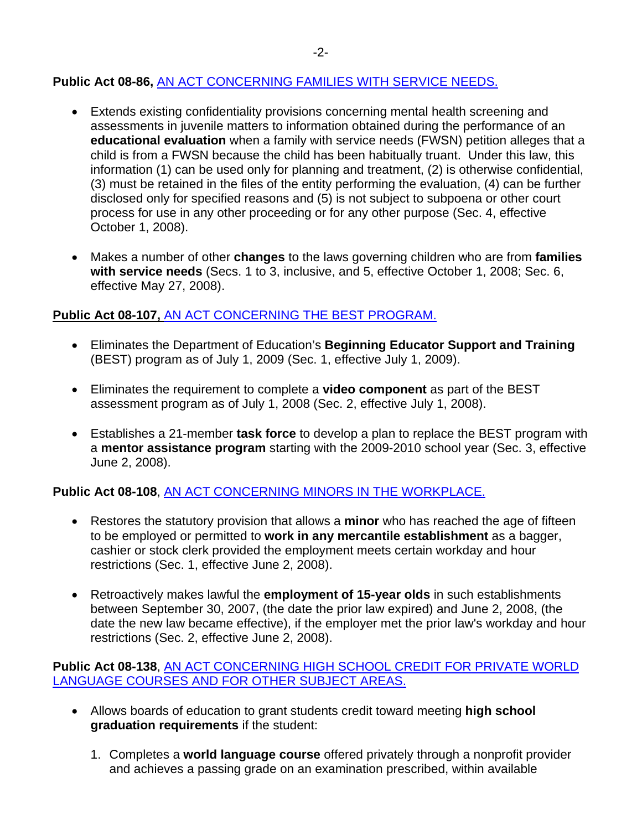# **Public Act 08-86,** [AN ACT CONCERNING FAMILIES WITH SERVICE NEEDS.](http://www.cga.ct.gov/2008/ACT/PA/2008PA-00086-R00HB-05926-PA.htm)

- Extends existing confidentiality provisions concerning mental health screening and assessments in juvenile matters to information obtained during the performance of an **educational evaluation** when a family with service needs (FWSN) petition alleges that a child is from a FWSN because the child has been habitually truant. Under this law, this information (1) can be used only for planning and treatment, (2) is otherwise confidential, (3) must be retained in the files of the entity performing the evaluation, (4) can be further disclosed only for specified reasons and (5) is not subject to subpoena or other court process for use in any other proceeding or for any other purpose (Sec. 4, effective October 1, 2008).
- Makes a number of other **changes** to the laws governing children who are from **families with service needs** (Secs. 1 to 3, inclusive, and 5, effective October 1, 2008; Sec. 6, effective May 27, 2008).

# **Public Act 08-107,** [AN ACT CONCERNING THE BEST PROGRAM.](http://www.cga.ct.gov/2008/ACT/PA/2008PA-00107-R00HB-05871-PA.htm)

- Eliminates the Department of Education's **Beginning Educator Support and Training** (BEST) program as of July 1, 2009 (Sec. 1, effective July 1, 2009).
- Eliminates the requirement to complete a **video component** as part of the BEST assessment program as of July 1, 2008 (Sec. 2, effective July 1, 2008).
- Establishes a 21-member **task force** to develop a plan to replace the BEST program with a **mentor assistance program** starting with the 2009-2010 school year (Sec. 3, effective June 2, 2008).

# **Public Act 08-108**, [AN ACT CONCERNING MINORS IN THE WORKPLACE.](http://www.cga.ct.gov/2008/ACT/PA/2008PA-00108-R00SB-00216-PA.htm)

- Restores the statutory provision that allows a **minor** who has reached the age of fifteen to be employed or permitted to **work in any mercantile establishment** as a bagger, cashier or stock clerk provided the employment meets certain workday and hour restrictions (Sec. 1, effective June 2, 2008).
- Retroactively makes lawful the **employment of 15-year olds** in such establishments between September 30, 2007, (the date the prior law expired) and June 2, 2008, (the date the new law became effective), if the employer met the prior law's workday and hour restrictions (Sec. 2, effective June 2, 2008).

### **Public Act 08-138**, [AN ACT CONCERNING HIGH SCHOOL CREDIT FOR PRIVATE WORLD](http://www.cga.ct.gov/2008/ACT/PA/2008PA-00138-R00HB-05820-PA.htm)  [LANGUAGE COURSES AND FOR OTHER SUBJECT AREAS.](http://www.cga.ct.gov/2008/ACT/PA/2008PA-00138-R00HB-05820-PA.htm)

- Allows boards of education to grant students credit toward meeting **high school graduation requirements** if the student:
	- 1. Completes a **world language course** offered privately through a nonprofit provider and achieves a passing grade on an examination prescribed, within available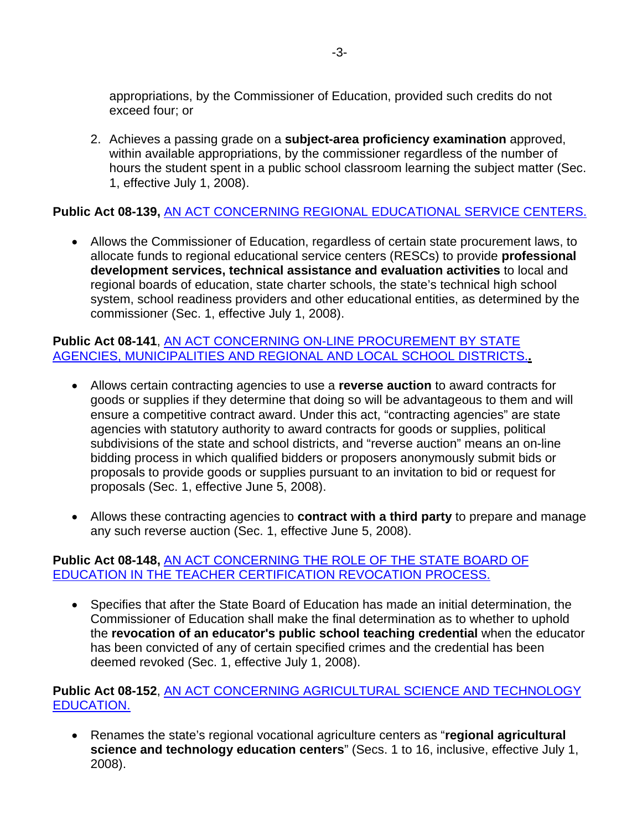appropriations, by the Commissioner of Education, provided such credits do not exceed four; or

2. Achieves a passing grade on a **subject-area proficiency examination** approved, within available appropriations, by the commissioner regardless of the number of hours the student spent in a public school classroom learning the subject matter (Sec. 1, effective July 1, 2008).

# **Public Act 08-139,** [AN ACT CONCERNING REGIONAL EDUCATIONAL SERVICE CENTERS.](http://www.cga.ct.gov/2008/ACT/PA/2008PA-00139-R00HB-05825-PA.htm)

• Allows the Commissioner of Education, regardless of certain state procurement laws, to allocate funds to regional educational service centers (RESCs) to provide **professional development services, technical assistance and evaluation activities** to local and regional boards of education, state charter schools, the state's technical high school system, school readiness providers and other educational entities, as determined by the commissioner (Sec. 1, effective July 1, 2008).

### **Public Act 08-141**, [AN ACT CONCERNING ON-LINE PROCUREMENT BY STATE](http://www.cga.ct.gov/2008/ACT/PA/2008PA-00141-R00HB-05899-PA.htm)  [AGENCIES, MUNICIPALITIES AND REGIONAL AND LOCAL SCHOOL DISTRICTS.](http://www.cga.ct.gov/2008/ACT/PA/2008PA-00141-R00HB-05899-PA.htm)**.**

- Allows certain contracting agencies to use a **reverse auction** to award contracts for goods or supplies if they determine that doing so will be advantageous to them and will ensure a competitive contract award. Under this act, "contracting agencies" are state agencies with statutory authority to award contracts for goods or supplies, political subdivisions of the state and school districts, and "reverse auction" means an on-line bidding process in which qualified bidders or proposers anonymously submit bids or proposals to provide goods or supplies pursuant to an invitation to bid or request for proposals (Sec. 1, effective June 5, 2008).
- Allows these contracting agencies to **contract with a third party** to prepare and manage any such reverse auction (Sec. 1, effective June 5, 2008).

### **Public Act 08-148,** [AN ACT CONCERNING THE ROLE OF THE STATE BOARD OF](http://www.cga.ct.gov/2008/ACT/PA/2008PA-00148-R00SB-00403-PA.htm)  [EDUCATION IN THE TEACHER CERTIFICATION REVOCATION PROCESS.](http://www.cga.ct.gov/2008/ACT/PA/2008PA-00148-R00SB-00403-PA.htm)

• Specifies that after the State Board of Education has made an initial determination, the Commissioner of Education shall make the final determination as to whether to uphold the **revocation of an educator's public school teaching credential** when the educator has been convicted of any of certain specified crimes and the credential has been deemed revoked (Sec. 1, effective July 1, 2008).

# **Public Act 08-152**, [AN ACT CONCERNING AGRICULTURAL SCIENCE AND TECHNOLOGY](http://www.cga.ct.gov/2008/ACT/PA/2008PA-00152-R00HB-05869-PA.htm)  [EDUCATION.](http://www.cga.ct.gov/2008/ACT/PA/2008PA-00152-R00HB-05869-PA.htm)

• Renames the state's regional vocational agriculture centers as "**regional agricultural science and technology education centers**" (Secs. 1 to 16, inclusive, effective July 1, 2008).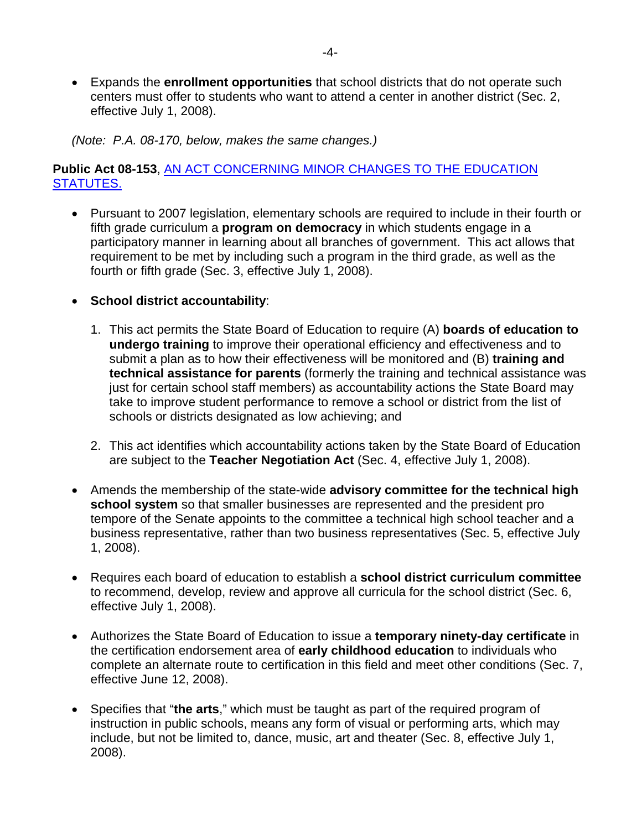• Expands the **enrollment opportunities** that school districts that do not operate such centers must offer to students who want to attend a center in another district (Sec. 2, effective July 1, 2008).

*(Note: P.A. 08-170, below, makes the same changes.)* 

# **Public Act 08-153**, [AN ACT CONCERNING MINOR CHANGES TO THE EDUCATION](http://www.cga.ct.gov/2008/ACT/PA/2008PA-00153-R00HB-05870-PA.htm)  [STATUTES.](http://www.cga.ct.gov/2008/ACT/PA/2008PA-00153-R00HB-05870-PA.htm)

- Pursuant to 2007 legislation, elementary schools are required to include in their fourth or fifth grade curriculum a **program on democracy** in which students engage in a participatory manner in learning about all branches of government. This act allows that requirement to be met by including such a program in the third grade, as well as the fourth or fifth grade (Sec. 3, effective July 1, 2008).
- **School district accountability**:
	- 1. This act permits the State Board of Education to require (A) **boards of education to undergo training** to improve their operational efficiency and effectiveness and to submit a plan as to how their effectiveness will be monitored and (B) **training and technical assistance for parents** (formerly the training and technical assistance was just for certain school staff members) as accountability actions the State Board may take to improve student performance to remove a school or district from the list of schools or districts designated as low achieving; and
	- 2. This act identifies which accountability actions taken by the State Board of Education are subject to the **Teacher Negotiation Act** (Sec. 4, effective July 1, 2008).
- Amends the membership of the state-wide **advisory committee for the technical high school system** so that smaller businesses are represented and the president pro tempore of the Senate appoints to the committee a technical high school teacher and a business representative, rather than two business representatives (Sec. 5, effective July 1, 2008).
- Requires each board of education to establish a **school district curriculum committee** to recommend, develop, review and approve all curricula for the school district (Sec. 6, effective July 1, 2008).
- Authorizes the State Board of Education to issue a **temporary ninety-day certificate** in the certification endorsement area of **early childhood education** to individuals who complete an alternate route to certification in this field and meet other conditions (Sec. 7, effective June 12, 2008).
- Specifies that "**the arts**," which must be taught as part of the required program of instruction in public schools, means any form of visual or performing arts, which may include, but not be limited to, dance, music, art and theater (Sec. 8, effective July 1, 2008).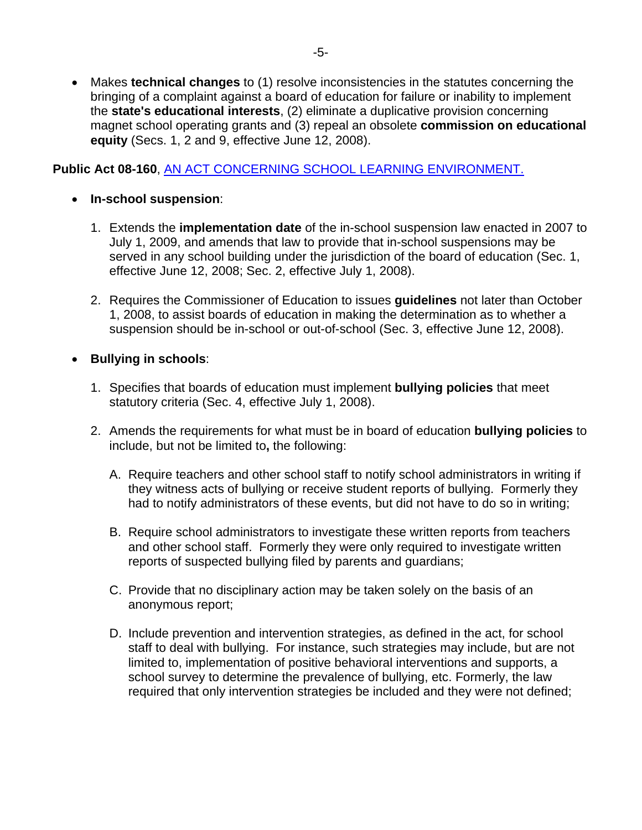• Makes **technical changes** to (1) resolve inconsistencies in the statutes concerning the bringing of a complaint against a board of education for failure or inability to implement the **state's educational interests**, (2) eliminate a duplicative provision concerning magnet school operating grants and (3) repeal an obsolete **commission on educational equity** (Secs. 1, 2 and 9, effective June 12, 2008).

**Public Act 08-160**, [AN ACT CONCERNING SCHOOL LEARNING ENVIRONMENT.](http://www.cga.ct.gov/2008/ACT/PA/2008PA-00160-R00HB-05826-PA.htm)

## • **In-school suspension**:

- 1. Extends the **implementation date** of the in-school suspension law enacted in 2007 to July 1, 2009, and amends that law to provide that in-school suspensions may be served in any school building under the jurisdiction of the board of education (Sec. 1, effective June 12, 2008; Sec. 2, effective July 1, 2008).
- 2. Requires the Commissioner of Education to issues **guidelines** not later than October 1, 2008, to assist boards of education in making the determination as to whether a suspension should be in-school or out-of-school (Sec. 3, effective June 12, 2008).

# • **Bullying in schools**:

- 1. Specifies that boards of education must implement **bullying policies** that meet statutory criteria (Sec. 4, effective July 1, 2008).
- 2. Amends the requirements for what must be in board of education **bullying policies** to include, but not be limited to**,** the following:
	- A. Require teachers and other school staff to notify school administrators in writing if they witness acts of bullying or receive student reports of bullying. Formerly they had to notify administrators of these events, but did not have to do so in writing;
	- B. Require school administrators to investigate these written reports from teachers and other school staff. Formerly they were only required to investigate written reports of suspected bullying filed by parents and guardians;
	- C. Provide that no disciplinary action may be taken solely on the basis of an anonymous report;
	- D. Include prevention and intervention strategies, as defined in the act, for school staff to deal with bullying. For instance, such strategies may include, but are not limited to, implementation of positive behavioral interventions and supports, a school survey to determine the prevalence of bullying, etc. Formerly, the law required that only intervention strategies be included and they were not defined;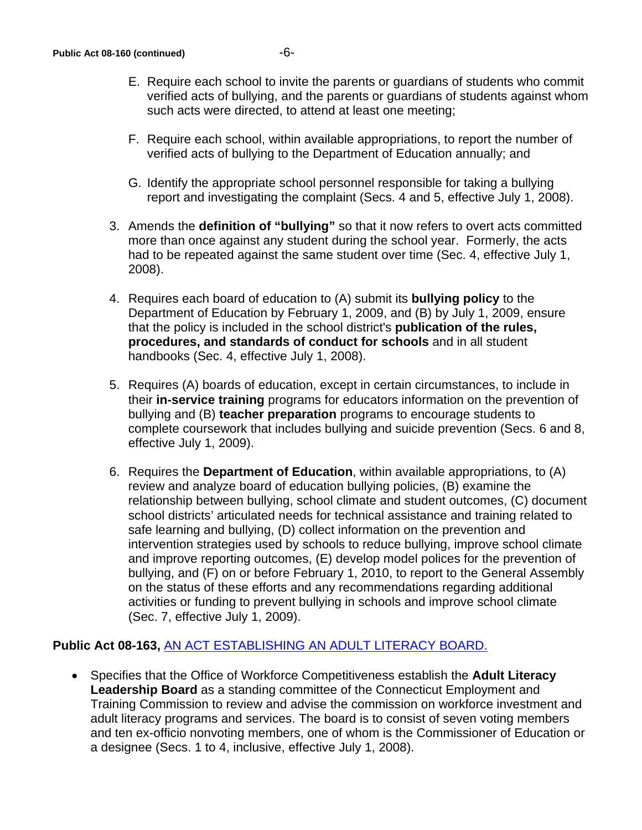- E. Require each school to invite the parents or guardians of students who commit verified acts of bullying, and the parents or guardians of students against whom such acts were directed, to attend at least one meeting;
- F. Require each school, within available appropriations, to report the number of verified acts of bullying to the Department of Education annually; and
- G. Identify the appropriate school personnel responsible for taking a bullying report and investigating the complaint (Secs. 4 and 5, effective July 1, 2008).
- 3. Amends the **definition of "bullying"** so that it now refers to overt acts committed more than once against any student during the school year. Formerly, the acts had to be repeated against the same student over time (Sec. 4, effective July 1, 2008).
- 4. Requires each board of education to (A) submit its **bullying policy** to the Department of Education by February 1, 2009, and (B) by July 1, 2009, ensure that the policy is included in the school district's **publication of the rules, procedures, and standards of conduct for schools** and in all student handbooks (Sec. 4, effective July 1, 2008).
- 5. Requires (A) boards of education, except in certain circumstances, to include in their **in-service training** programs for educators information on the prevention of bullying and (B) **teacher preparation** programs to encourage students to complete coursework that includes bullying and suicide prevention (Secs. 6 and 8, effective July 1, 2009).
- 6. Requires the **Department of Education**, within available appropriations, to (A) review and analyze board of education bullying policies, (B) examine the relationship between bullying, school climate and student outcomes, (C) document school districts' articulated needs for technical assistance and training related to safe learning and bullying, (D) collect information on the prevention and intervention strategies used by schools to reduce bullying, improve school climate and improve reporting outcomes, (E) develop model polices for the prevention of bullying, and (F) on or before February 1, 2010, to report to the General Assembly on the status of these efforts and any recommendations regarding additional activities or funding to prevent bullying in schools and improve school climate (Sec. 7, effective July 1, 2009).

#### **Public Act 08-163,** [AN ACT ESTABLISHING AN ADULT LITERACY BOARD.](http://www.cga.ct.gov/2008/ACT/PA/2008PA-00163-R00SB-00465-PA.htm)

• Specifies that the Office of Workforce Competitiveness establish the **Adult Literacy Leadership Board** as a standing committee of the Connecticut Employment and Training Commission to review and advise the commission on workforce investment and adult literacy programs and services. The board is to consist of seven voting members and ten ex-officio nonvoting members, one of whom is the Commissioner of Education or a designee (Secs. 1 to 4, inclusive, effective July 1, 2008).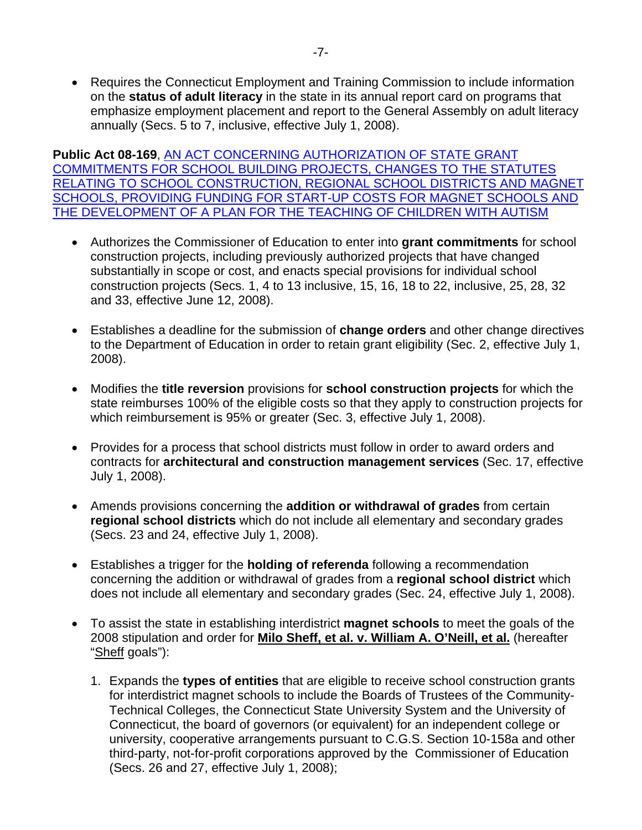• Requires the Connecticut Employment and Training Commission to include information on the **status of adult literacy** in the state in its annual report card on programs that emphasize employment placement and report to the General Assembly on adult literacy annually (Secs. 5 to 7, inclusive, effective July 1, 2008).

**Public Act 08-169**, [AN ACT CONCERNING AUTHORIZATION OF STATE GRANT](http://www.cga.ct.gov/2008/ACT/PA/2008PA-00169-R00SB-00402-PA.htm)  [COMMITMENTS FOR SCHOOL BUILDING PROJECTS, CHANGES TO THE STATUTES](http://www.cga.ct.gov/2008/ACT/PA/2008PA-00169-R00SB-00402-PA.htm)  [RELATING TO SCHOOL CONSTRUCTION, REGIONAL SCHOOL DISTRICTS AND MAGNET](http://www.cga.ct.gov/2008/ACT/PA/2008PA-00169-R00SB-00402-PA.htm)  [SCHOOLS, PROVIDING FUNDING FOR START-UP COSTS FOR MAGNET SCHOOLS AND](http://www.cga.ct.gov/2008/ACT/PA/2008PA-00169-R00SB-00402-PA.htm)  [THE DEV](http://www.cga.ct.gov/2008/ACT/PA/2008PA-00169-R00SB-00402-PA.htm)ELOPMENT OF A PLAN FOR THE TEACHING OF CHILDREN WITH AUTISM

- Authorizes the Commissioner of Education to enter into **grant commitments** for school construction projects, including previously authorized projects that have changed substantially in scope or cost, and enacts special provisions for individual school construction projects (Secs. 1, 4 to 13 inclusive, 15, 16, 18 to 22, inclusive, 25, 28, 32 and 33, effective June 12, 2008).
- Establishes a deadline for the submission of **change orders** and other change directives to the Department of Education in order to retain grant eligibility (Sec. 2, effective July 1, 2008).
- Modifies the **title reversion** provisions for **school construction projects** for which the state reimburses 100% of the eligible costs so that they apply to construction projects for which reimbursement is 95% or greater (Sec. 3, effective July 1, 2008).
- Provides for a process that school districts must follow in order to award orders and contracts for **architectural and construction management services** (Sec. 17, effective July 1, 2008).
- Amends provisions concerning the **addition or withdrawal of grades** from certain **regional school districts** which do not include all elementary and secondary grades (Secs. 23 and 24, effective July 1, 2008).
- Establishes a trigger for the **holding of referenda** following a recommendation concerning the addition or withdrawal of grades from a **regional school district** which does not include all elementary and secondary grades (Sec. 24, effective July 1, 2008).
- To assist the state in establishing interdistrict **magnet schools** to meet the goals of the 2008 stipulation and order for **Milo Sheff, et al. v. William A. O'Neill, et al.** (hereafter "Sheff goals"):
	- 1. Expands the **types of entities** that are eligible to receive school construction grants for interdistrict magnet schools to include the Boards of Trustees of the Community-Technical Colleges, the Connecticut State University System and the University of Connecticut, the board of governors (or equivalent) for an independent college or university, cooperative arrangements pursuant to C.G.S. Section 10-158a and other third-party, not-for-profit corporations approved by the Commissioner of Education (Secs. 26 and 27, effective July 1, 2008);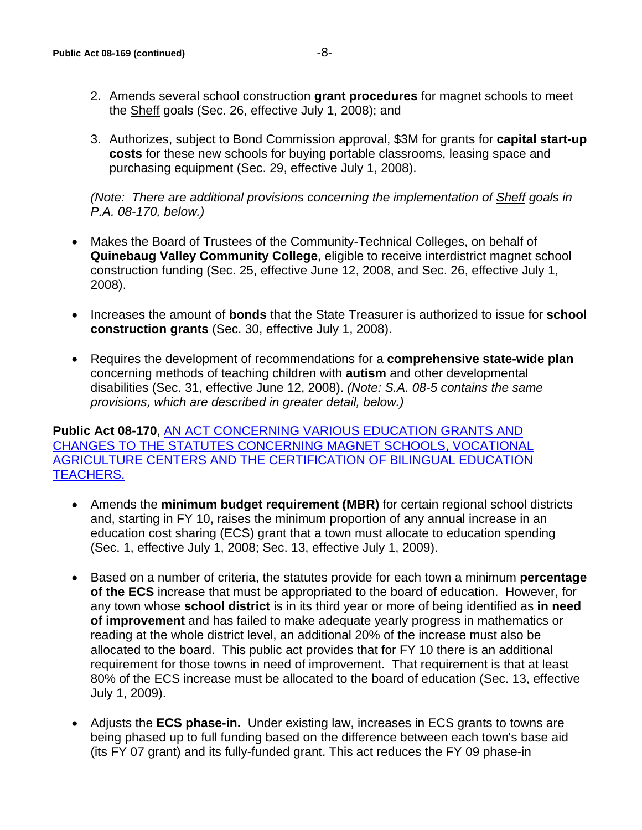3. Authorizes, subject to Bond Commission approval, \$3M for grants for **capital start-up costs** for these new schools for buying portable classrooms, leasing space and purchasing equipment (Sec. 29, effective July 1, 2008).

*(Note: There are additional provisions concerning the implementation of Sheff goals in P.A. 08-170, below.)* 

- Makes the Board of Trustees of the Community-Technical Colleges, on behalf of **Quinebaug Valley Community College**, eligible to receive interdistrict magnet school construction funding (Sec. 25, effective June 12, 2008, and Sec. 26, effective July 1, 2008).
- Increases the amount of **bonds** that the State Treasurer is authorized to issue for **school construction grants** (Sec. 30, effective July 1, 2008).
- Requires the development of recommendations for a **comprehensive state-wide plan** concerning methods of teaching children with **autism** and other developmental disabilities (Sec. 31, effective June 12, 2008). *(Note: S.A. 08-5 contains the same provisions, which are described in greater detail, below.)*

**Public Act 08-170**, [AN ACT CONCERNING VARIOUS EDUCATION GRANTS AND](http://www.cga.ct.gov/2008/ACT/PA/2008PA-00170-R00SB-00404-PA.htm)  [CHANGES TO THE STATUTES CONCERNING MAGNET SCHOOLS, VOCATIONAL](http://www.cga.ct.gov/2008/ACT/PA/2008PA-00170-R00SB-00404-PA.htm)  [AGRICULTURE CENTERS AND THE CERTIFICATION OF BILINGUAL EDUCATION](http://www.cga.ct.gov/2008/ACT/PA/2008PA-00170-R00SB-00404-PA.htm)  [TEACHERS.](http://www.cga.ct.gov/2008/ACT/PA/2008PA-00170-R00SB-00404-PA.htm)

- Amends the **minimum budget requirement (MBR)** for certain regional school districts and, starting in FY 10, raises the minimum proportion of any annual increase in an education cost sharing (ECS) grant that a town must allocate to education spending (Sec. 1, effective July 1, 2008; Sec. 13, effective July 1, 2009).
- Based on a number of criteria, the statutes provide for each town a minimum **percentage of the ECS** increase that must be appropriated to the board of education. However, for any town whose **school district** is in its third year or more of being identified as **in need of improvement** and has failed to make adequate yearly progress in mathematics or reading at the whole district level, an additional 20% of the increase must also be allocated to the board. This public act provides that for FY 10 there is an additional requirement for those towns in need of improvement.That requirement is that at least 80% of the ECS increase must be allocated to the board of education (Sec. 13, effective July 1, 2009).
- Adjusts the **ECS phase-in.** Under existing law, increases in ECS grants to towns are being phased up to full funding based on the difference between each town's base aid (its FY 07 grant) and its fully-funded grant. This act reduces the FY 09 phase-in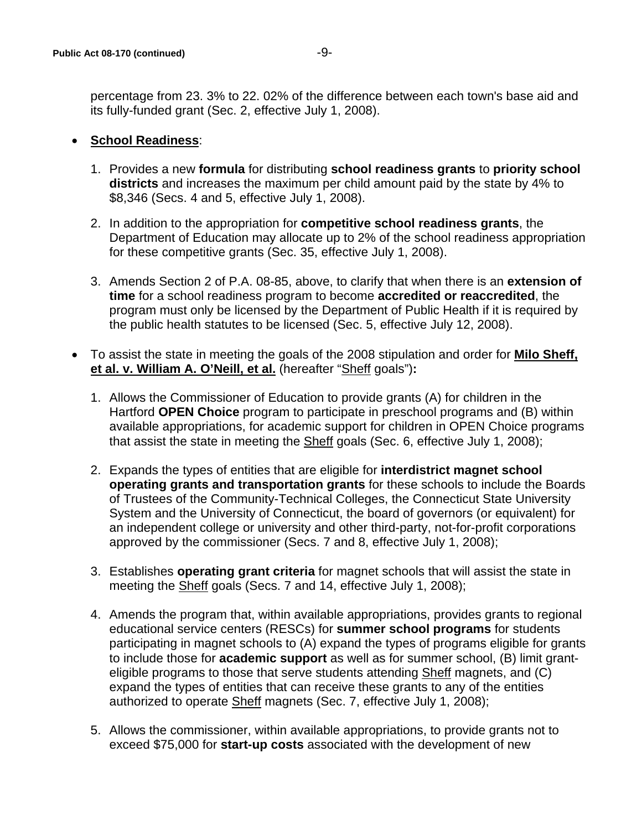percentage from 23. 3% to 22. 02% of the difference between each town's base aid and its fully-funded grant (Sec. 2, effective July 1, 2008).

# • **School Readiness**:

- 1. Provides a new **formula** for distributing **school readiness grants** to **priority school districts** and increases the maximum per child amount paid by the state by 4% to \$8,346 (Secs. 4 and 5, effective July 1, 2008).
- 2. In addition to the appropriation for **competitive school readiness grants**, the Department of Education may allocate up to 2% of the school readiness appropriation for these competitive grants (Sec. 35, effective July 1, 2008).
- 3. Amends Section 2 of P.A. 08-85, above, to clarify that when there is an **extension of time** for a school readiness program to become **accredited or reaccredited**, the program must only be licensed by the Department of Public Health if it is required by the public health statutes to be licensed (Sec. 5, effective July 12, 2008).
- To assist the state in meeting the goals of the 2008 stipulation and order for **Milo Sheff, et al. v. William A. O'Neill, et al.** (hereafter "Sheff goals")**:**
	- 1. Allows the Commissioner of Education to provide grants (A) for children in the Hartford **OPEN Choice** program to participate in preschool programs and (B) within available appropriations, for academic support for children in OPEN Choice programs that assist the state in meeting the Sheff goals (Sec. 6, effective July 1, 2008);
	- 2. Expands the types of entities that are eligible for **interdistrict magnet school operating grants and transportation grants** for these schools to include the Boards of Trustees of the Community-Technical Colleges, the Connecticut State University System and the University of Connecticut, the board of governors (or equivalent) for an independent college or university and other third-party, not-for-profit corporations approved by the commissioner (Secs. 7 and 8, effective July 1, 2008);
	- 3. Establishes **operating grant criteria** for magnet schools that will assist the state in meeting the Sheff goals (Secs. 7 and 14, effective July 1, 2008);
	- 4. Amends the program that, within available appropriations, provides grants to regional educational service centers (RESCs) for **summer school programs** for students participating in magnet schools to (A) expand the types of programs eligible for grants to include those for **academic support** as well as for summer school, (B) limit granteligible programs to those that serve students attending Sheff magnets, and (C) expand the types of entities that can receive these grants to any of the entities authorized to operate Sheff magnets (Sec. 7, effective July 1, 2008);
	- 5. Allows the commissioner, within available appropriations, to provide grants not to exceed \$75,000 for **start-up costs** associated with the development of new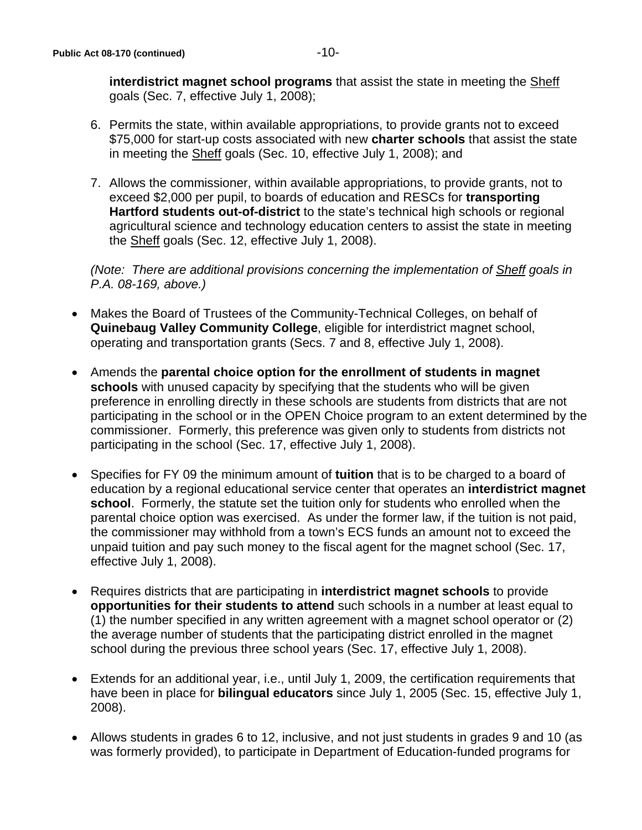**interdistrict magnet school programs** that assist the state in meeting the Sheff goals (Sec. 7, effective July 1, 2008);

- 6. Permits the state, within available appropriations, to provide grants not to exceed \$75,000 for start-up costs associated with new **charter schools** that assist the state in meeting the Sheff goals (Sec. 10, effective July 1, 2008); and
- 7. Allows the commissioner, within available appropriations, to provide grants, not to exceed \$2,000 per pupil, to boards of education and RESCs for **transporting Hartford students out-of-district** to the state's technical high schools or regional agricultural science and technology education centers to assist the state in meeting the Sheff goals (Sec. 12, effective July 1, 2008).

*(Note: There are additional provisions concerning the implementation of Sheff goals in P.A. 08-169, above.)* 

- Makes the Board of Trustees of the Community-Technical Colleges, on behalf of **Quinebaug Valley Community College**, eligible for interdistrict magnet school, operating and transportation grants (Secs. 7 and 8, effective July 1, 2008).
- Amends the **parental choice option for the enrollment of students in magnet schools** with unused capacity by specifying that the students who will be given preference in enrolling directly in these schools are students from districts that are not participating in the school or in the OPEN Choice program to an extent determined by the commissioner. Formerly, this preference was given only to students from districts not participating in the school (Sec. 17, effective July 1, 2008).
- Specifies for FY 09 the minimum amount of **tuition** that is to be charged to a board of education by a regional educational service center that operates an **interdistrict magnet school**. Formerly, the statute set the tuition only for students who enrolled when the parental choice option was exercised. As under the former law, if the tuition is not paid, the commissioner may withhold from a town's ECS funds an amount not to exceed the unpaid tuition and pay such money to the fiscal agent for the magnet school (Sec. 17, effective July 1, 2008).
- Requires districts that are participating in **interdistrict magnet schools** to provide **opportunities for their students to attend** such schools in a number at least equal to (1) the number specified in any written agreement with a magnet school operator or (2) the average number of students that the participating district enrolled in the magnet school during the previous three school years (Sec. 17, effective July 1, 2008).
- Extends for an additional year, i.e., until July 1, 2009, the certification requirements that have been in place for **bilingual educators** since July 1, 2005 (Sec. 15, effective July 1, 2008).
- Allows students in grades 6 to 12, inclusive, and not just students in grades 9 and 10 (as was formerly provided), to participate in Department of Education-funded programs for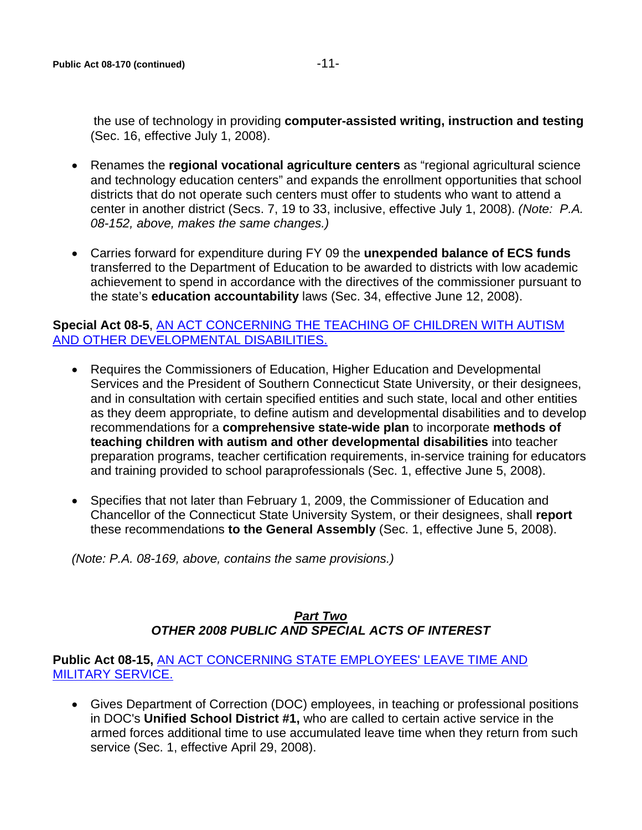- Renames the **regional vocational agriculture centers** as "regional agricultural science and technology education centers" and expands the enrollment opportunities that school districts that do not operate such centers must offer to students who want to attend a center in another district (Secs. 7, 19 to 33, inclusive, effective July 1, 2008). *(Note: P.A. 08-152, above, makes the same changes.)*
- Carries forward for expenditure during FY 09 the **unexpended balance of ECS funds** transferred to the Department of Education to be awarded to districts with low academic achievement to spend in accordance with the directives of the commissioner pursuant to the state's **education accountability** laws (Sec. 34, effective June 12, 2008).

#### **Special Act 08-5**, [AN ACT CONCERNING THE TEACHING OF CHILDREN WITH AUTISM](http://www.cga.ct.gov/2008/ACT/SA/2008SA-00005-R00HB-05590-SA.htm)  [AND OTHER DEVELOPMENTAL DISABILITIES.](http://www.cga.ct.gov/2008/ACT/SA/2008SA-00005-R00HB-05590-SA.htm)

- Requires the Commissioners of Education, Higher Education and Developmental Services and the President of Southern Connecticut State University, or their designees, and in consultation with certain specified entities and such state, local and other entities as they deem appropriate, to define autism and developmental disabilities and to develop recommendations for a **comprehensive state-wide plan** to incorporate **methods of teaching children with autism and other developmental disabilities** into teacher preparation programs, teacher certification requirements, in-service training for educators and training provided to school paraprofessionals (Sec. 1, effective June 5, 2008).
- Specifies that not later than February 1, 2009, the Commissioner of Education and Chancellor of the Connecticut State University System, or their designees, shall **report**  these recommendations **to the General Assembly** (Sec. 1, effective June 5, 2008).

*(Note: P.A. 08-169, above, contains the same provisions.)* 

# *Part Two OTHER 2008 PUBLIC AND SPECIAL ACTS OF INTEREST*

#### **Public Act 08-15,** [AN ACT CONCERNING STATE EMPLOYEES' LEAVE TIME AND](http://www.cga.ct.gov/2008/ACT/PA/2008PA-00015-R00HB-05111-PA.htm)  [MILITARY SERVICE.](http://www.cga.ct.gov/2008/ACT/PA/2008PA-00015-R00HB-05111-PA.htm)

• Gives Department of Correction (DOC) employees, in teaching or professional positions in DOC's **Unified School District #1,** who are called to certain active service in the armed forces additional time to use accumulated leave time when they return from such service (Sec. 1, effective April 29, 2008).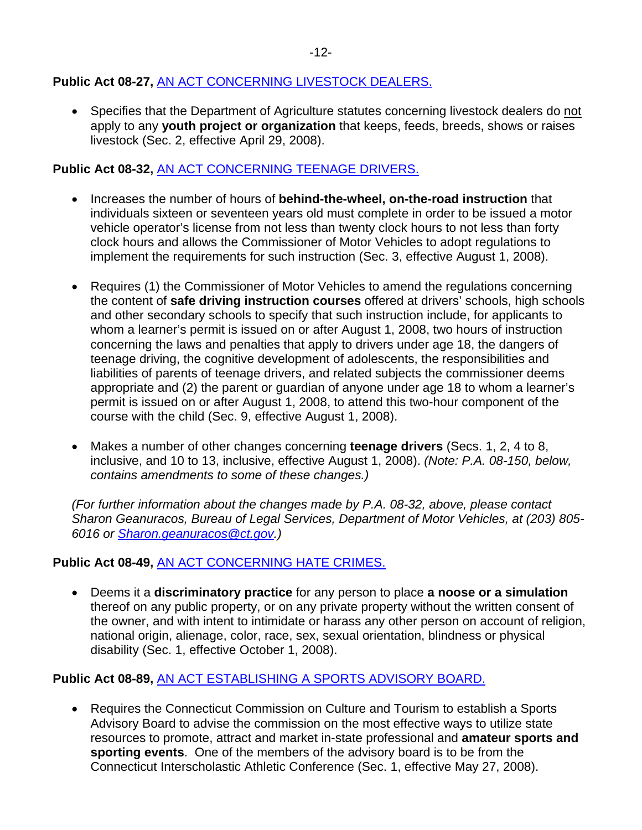# **Public Act 08-27,** [AN ACT CONCERNING LIVESTOCK DEALERS.](http://www.cga.ct.gov/2008/ACT/PA/2008PA-00027-R00HB-05830-PA.htm)

• Specifies that the Department of Agriculture statutes concerning livestock dealers do not apply to any **youth project or organization** that keeps, feeds, breeds, shows or raises livestock (Sec. 2, effective April 29, 2008).

# **Public Act 08-32,** [AN ACT CONCERNING TEENAGE DRIVERS.](http://www.cga.ct.gov/2008/ACT/PA/2008PA-00032-R00HB-05748-PA.htm)

- Increases the number of hours of **behind-the-wheel, on-the-road instruction** that individuals sixteen or seventeen years old must complete in order to be issued a motor vehicle operator's license from not less than twenty clock hours to not less than forty clock hours and allows the Commissioner of Motor Vehicles to adopt regulations to implement the requirements for such instruction (Sec. 3, effective August 1, 2008).
- Requires (1) the Commissioner of Motor Vehicles to amend the regulations concerning the content of **safe driving instruction courses** offered at drivers' schools, high schools and other secondary schools to specify that such instruction include, for applicants to whom a learner's permit is issued on or after August 1, 2008, two hours of instruction concerning the laws and penalties that apply to drivers under age 18, the dangers of teenage driving, the cognitive development of adolescents, the responsibilities and liabilities of parents of teenage drivers, and related subjects the commissioner deems appropriate and (2) the parent or guardian of anyone under age 18 to whom a learner's permit is issued on or after August 1, 2008, to attend this two-hour component of the course with the child (Sec. 9, effective August 1, 2008).
- Makes a number of other changes concerning **teenage drivers** (Secs. 1, 2, 4 to 8, inclusive, and 10 to 13, inclusive, effective August 1, 2008). *(Note: P.A. 08-150, below, contains amendments to some of these changes.)*

*(For further information about the changes made by P.A. 08-32, above, please contact Sharon Geanuracos, Bureau of Legal Services, Department of Motor Vehicles, at (203) 805- 6016 or [Sharon.geanuracos@ct.gov](mailto:Sharon.geanuracos@ct.gov).)*

# **Public Act 08-49,** [AN ACT CONCERNING HATE CRIMES.](http://www.cga.ct.gov/2008/ACT/PA/2008PA-00049-R00SB-00604-PA.htm)

• Deems it a **discriminatory practice** for any person to place **a noose or a simulation** thereof on any public property, or on any private property without the written consent of the owner, and with intent to intimidate or harass any other person on account of religion, national origin, alienage, color, race, sex, sexual orientation, blindness or physical disability (Sec. 1, effective October 1, 2008).

#### **Public Act 08-89,** [AN ACT ESTABLISHING A SPORTS ADVISORY BOARD.](http://www.cga.ct.gov/2008/ACT/PA/2008PA-00089-R00SB-00553-PA.htm)

• Requires the Connecticut Commission on Culture and Tourism to establish a Sports Advisory Board to advise the commission on the most effective ways to utilize state resources to promote, attract and market in-state professional and **amateur sports and sporting events**. One of the members of the advisory board is to be from the Connecticut Interscholastic Athletic Conference (Sec. 1, effective May 27, 2008).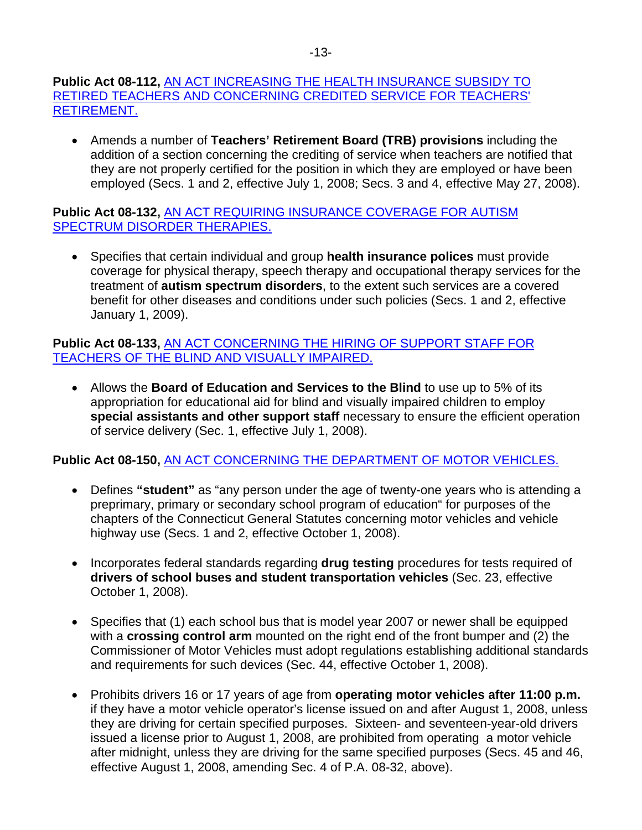### **Public Act 08-112,** [AN ACT INCREASING THE HEALTH INSURANCE SUBSIDY TO](http://www.cga.ct.gov/2008/ACT/PA/2008PA-00112-R00HB-05841-PA.htm)  [RETIRED TEACHERS AND CONCERNING CREDITED SERVICE FOR TEACHERS'](http://www.cga.ct.gov/2008/ACT/PA/2008PA-00112-R00HB-05841-PA.htm)  [RETIREMENT.](http://www.cga.ct.gov/2008/ACT/PA/2008PA-00112-R00HB-05841-PA.htm)

• Amends a number of **Teachers' Retirement Board (TRB) provisions** including the addition of a section concerning the crediting of service when teachers are notified that they are not properly certified for the position in which they are employed or have been employed (Secs. 1 and 2, effective July 1, 2008; Secs. 3 and 4, effective May 27, 2008).

**Public Act 08-132,** [AN ACT REQUIRING INSURANCE COVERAGE FOR AUTISM](http://www.cga.ct.gov/2008/ACT/PA/2008PA-00132-R00HB-05696-PA.htm)  [SPECTRUM DISORDER THERAPIES.](http://www.cga.ct.gov/2008/ACT/PA/2008PA-00132-R00HB-05696-PA.htm)

• Specifies that certain individual and group **health insurance polices** must provide coverage for physical therapy, speech therapy and occupational therapy services for the treatment of **autism spectrum disorders**, to the extent such services are a covered benefit for other diseases and conditions under such policies (Secs. 1 and 2, effective January 1, 2009).

**Public Act 08-133,** [AN ACT CONCERNING THE HIRING OF SUPPORT STAFF FOR](http://www.cga.ct.gov/2008/ACT/PA/2008PA-00133-R00SB-00418-PA.htm)  [TEACHERS OF THE BLIND AND VISUALLY IMPAIRED.](http://www.cga.ct.gov/2008/ACT/PA/2008PA-00133-R00SB-00418-PA.htm)

• Allows the **Board of Education and Services to the Blind** to use up to 5% of its appropriation for educational aid for blind and visually impaired children to employ **special assistants and other support staff** necessary to ensure the efficient operation of service delivery (Sec. 1, effective July 1, 2008).

# **Public Act 08-150,** [AN ACT CONCERNING THE DEPARTMENT OF MOTOR VEHICLES.](http://www.cga.ct.gov/2008/ACT/PA/2008PA-00150-R00SB-00298-PA.htm)

- Defines **"student"** as "any person under the age of twenty-one years who is attending a preprimary, primary or secondary school program of education" for purposes of the chapters of the Connecticut General Statutes concerning motor vehicles and vehicle highway use (Secs. 1 and 2, effective October 1, 2008).
- Incorporates federal standards regarding **drug testing** procedures for tests required of **drivers of school buses and student transportation vehicles** (Sec. 23, effective October 1, 2008).
- Specifies that (1) each school bus that is model year 2007 or newer shall be equipped with a **crossing control arm** mounted on the right end of the front bumper and (2) the Commissioner of Motor Vehicles must adopt regulations establishing additional standards and requirements for such devices (Sec. 44, effective October 1, 2008).
- Prohibits drivers 16 or 17 years of age from **operating motor vehicles after 11:00 p.m.** if they have a motor vehicle operator's license issued on and after August 1, 2008, unless they are driving for certain specified purposes. Sixteen- and seventeen-year-old drivers issued a license prior to August 1, 2008, are prohibited from operating a motor vehicle after midnight, unless they are driving for the same specified purposes (Secs. 45 and 46, effective August 1, 2008, amending Sec. 4 of P.A. 08-32, above).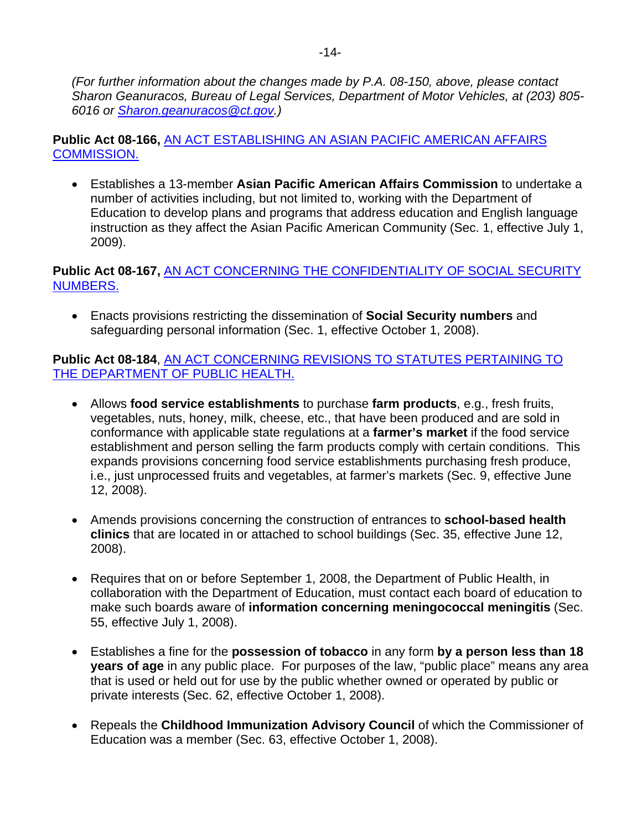*(For further information about the changes made by P.A. 08-150, above, please contact Sharon Geanuracos, Bureau of Legal Services, Department of Motor Vehicles, at (203) 805- 6016 or [Sharon.geanuracos@ct.gov](mailto:Sharon.geanuracos@ct.gov).)*

**Public Act 08-166,** [AN ACT ESTABLISHING AN ASIAN PACIFIC AMERICAN AFFAIRS](http://www.cga.ct.gov/2008/ACT/PA/2008PA-00166-R00HB-05321-PA.htm)  [COMMISSION.](http://www.cga.ct.gov/2008/ACT/PA/2008PA-00166-R00HB-05321-PA.htm)

• Establishes a 13-member **Asian Pacific American Affairs Commission** to undertake a number of activities including, but not limited to, working with the Department of Education to develop plans and programs that address education and English language instruction as they affect the Asian Pacific American Community (Sec. 1, effective July 1, 2009).

# **Public Act 08-167,** [AN ACT CONCERNING THE CONFIDENTIALITY OF SOCIAL SECURITY](http://www.cga.ct.gov/2008/ACT/PA/2008PA-00167-R00HB-05658-PA.htm)  [NUMBERS.](http://www.cga.ct.gov/2008/ACT/PA/2008PA-00167-R00HB-05658-PA.htm)

• Enacts provisions restricting the dissemination of **Social Security numbers** and safeguarding personal information (Sec. 1, effective October 1, 2008).

## **Public Act 08-184**, [AN ACT CONCERNING REVISIONS TO STATUTES PERTAINING TO](http://www.cga.ct.gov/2008/ACT/PA/2008PA-00184-R00HB-05701-PA.htm)  [THE DEPARTMENT OF PUBLIC HEALTH.](http://www.cga.ct.gov/2008/ACT/PA/2008PA-00184-R00HB-05701-PA.htm)

- Allows **food service establishments** to purchase **farm products**, e.g., fresh fruits, vegetables, nuts, honey, milk, cheese, etc., that have been produced and are sold in conformance with applicable state regulations at a **farmer's market** if the food service establishment and person selling the farm products comply with certain conditions. This expands provisions concerning food service establishments purchasing fresh produce, i.e., just unprocessed fruits and vegetables, at farmer's markets (Sec. 9, effective June 12, 2008).
- Amends provisions concerning the construction of entrances to **school-based health clinics** that are located in or attached to school buildings (Sec. 35, effective June 12, 2008).
- Requires that on or before September 1, 2008, the Department of Public Health, in collaboration with the Department of Education, must contact each board of education to make such boards aware of **information concerning meningococcal meningitis** (Sec. 55, effective July 1, 2008).
- Establishes a fine for the **possession of tobacco** in any form **by a person less than 18 years of age** in any public place. For purposes of the law, "public place" means any area that is used or held out for use by the public whether owned or operated by public or private interests (Sec. 62, effective October 1, 2008).
- Repeals the **Childhood Immunization Advisory Council** of which the Commissioner of Education was a member (Sec. 63, effective October 1, 2008).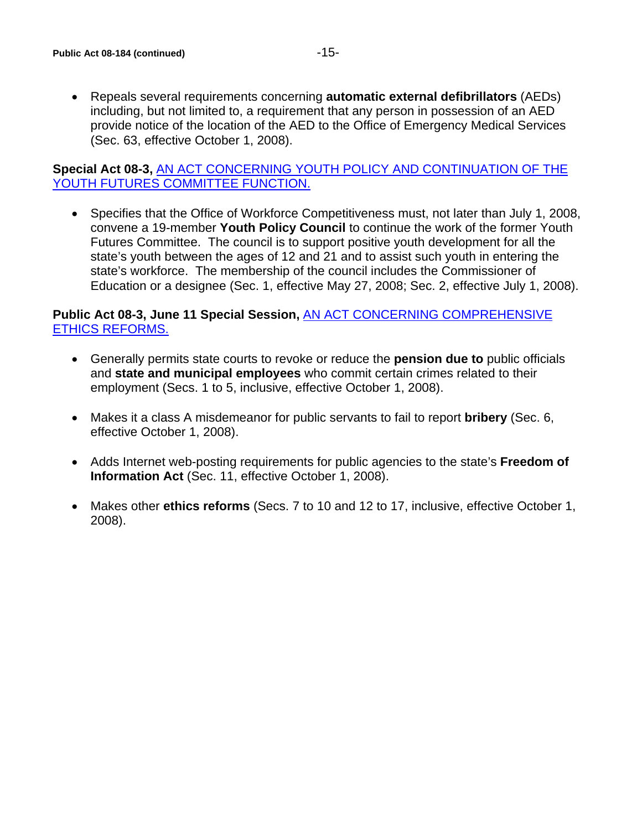• Repeals several requirements concerning **automatic external defibrillators** (AEDs) including, but not limited to, a requirement that any person in possession of an AED provide notice of the location of the AED to the Office of Emergency Medical Services (Sec. 63, effective October 1, 2008).

### **Special Act 08-3,** [AN ACT CONCERNING YOUTH POLICY AND CONTINUATION OF THE](http://www.cga.ct.gov/2008/ACT/SA/2008SA-00003-R00HB-05133-SA.htm)  [YOUTH FUTURES COMMITTEE FUNCTION.](http://www.cga.ct.gov/2008/ACT/SA/2008SA-00003-R00HB-05133-SA.htm)

• Specifies that the Office of Workforce Competitiveness must, not later than July 1, 2008, convene a 19-member **Youth Policy Council** to continue the work of the former Youth Futures Committee. The council is to support positive youth development for all the state's youth between the ages of 12 and 21 and to assist such youth in entering the state's workforce. The membership of the council includes the Commissioner of Education or a designee (Sec. 1, effective May 27, 2008; Sec. 2, effective July 1, 2008).

### **Public Act 08-3, June 11 Special Session,** [AN ACT CONCERNING COMPREHENSIVE](http://www.cga.ct.gov/2008/TOB/H/2008HB-06502-R00-HB.htm)  [ETHICS REFORMS.](http://www.cga.ct.gov/2008/TOB/H/2008HB-06502-R00-HB.htm)

- Generally permits state courts to revoke or reduce the **pension due to** public officials and **state and municipal employees** who commit certain crimes related to their employment (Secs. 1 to 5, inclusive, effective October 1, 2008).
- Makes it a class A misdemeanor for public servants to fail to report **bribery** (Sec. 6, effective October 1, 2008).
- Adds Internet web-posting requirements for public agencies to the state's **Freedom of Information Act** (Sec. 11, effective October 1, 2008).
- Makes other **ethics reforms** (Secs. 7 to 10 and 12 to 17, inclusive, effective October 1, 2008).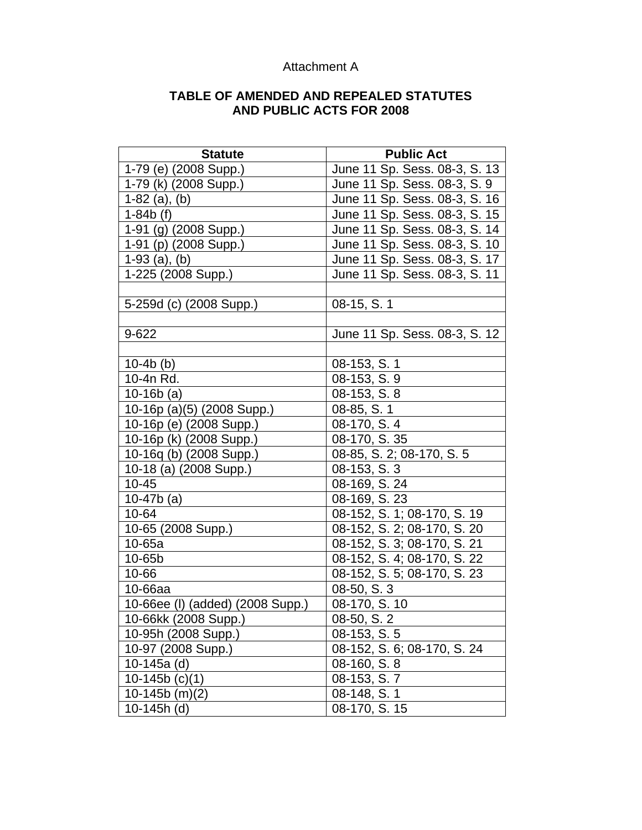| <b>Statute</b>                   | <b>Public Act</b>             |
|----------------------------------|-------------------------------|
| 1-79 (e) (2008 Supp.)            | June 11 Sp. Sess. 08-3, S. 13 |
| 1-79 (k) (2008 Supp.)            | June 11 Sp. Sess. 08-3, S. 9  |
| $1-82$ (a), (b)                  | June 11 Sp. Sess. 08-3, S. 16 |
| $1-84b$ (f)                      | June 11 Sp. Sess. 08-3, S. 15 |
| 1-91 (g) (2008 Supp.)            | June 11 Sp. Sess. 08-3, S. 14 |
| 1-91 (p) (2008 Supp.)            | June 11 Sp. Sess. 08-3, S. 10 |
| $1-93$ (a), (b)                  | June 11 Sp. Sess. 08-3, S. 17 |
| 1-225 (2008 Supp.)               | June 11 Sp. Sess. 08-3, S. 11 |
|                                  |                               |
| 5-259d (c) (2008 Supp.)          | 08-15, S. 1                   |
|                                  |                               |
| 9-622                            | June 11 Sp. Sess. 08-3, S. 12 |
|                                  |                               |
| $10-4b$ (b)                      | 08-153, S. 1                  |
| 10-4n Rd.                        | 08-153, S. 9                  |
| $10-16b(a)$                      | 08-153, S. 8                  |
| 10-16p (a)(5) (2008 Supp.)       | 08-85, S. 1                   |
| 10-16p (e) (2008 Supp.)          | 08-170, S. 4                  |
| 10-16p (k) (2008 Supp.)          | $08-170, S. 35$               |
| 10-16q (b) (2008 Supp.)          | 08-85, S. 2; 08-170, S. 5     |
| 10-18 (a) (2008 Supp.)           | 08-153, S. 3                  |
| $10 - 45$                        | 08-169, S. 24                 |
| 10-47 $b$ (a)                    | 08-169, S. 23                 |
| 10-64                            | 08-152, S. 1; 08-170, S. 19   |
| 10-65 (2008 Supp.)               | 08-152, S. 2; 08-170, S. 20   |
| $10-65a$                         | 08-152, S. 3; 08-170, S. 21   |
| 10-65b                           | 08-152, S. 4; 08-170, S. 22   |
| 10-66                            | 08-152, S. 5; 08-170, S. 23   |
| 10-66aa                          | 08-50, S. 3                   |
| 10-66ee (I) (added) (2008 Supp.) | 08-170, S. 10                 |
| 10-66kk (2008 Supp.)             | 08-50, S. 2                   |
| 10-95h (2008 Supp.)              | 08-153, S. 5                  |
| 10-97 (2008 Supp.)               | 08-152, S. 6; 08-170, S. 24   |
| 10-145a $(d)$                    | 08-160, S. 8                  |
| 10-145b $(c)(1)$                 | 08-153, S. 7                  |
| $10-145b$ (m)(2)                 | 08-148, S. 1                  |
| 10-145h (d)                      | $08-170, S. 15$               |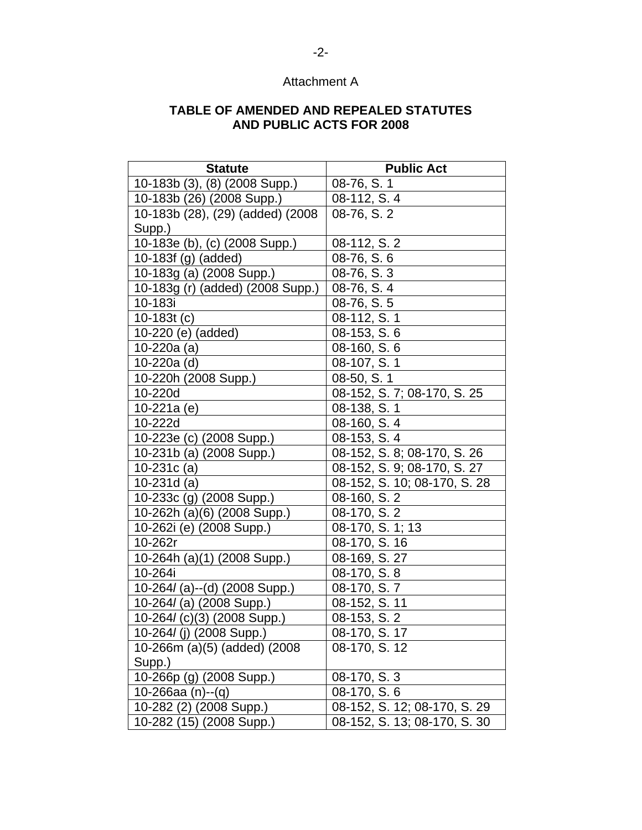| <b>Statute</b>                   | <b>Public Act</b>            |
|----------------------------------|------------------------------|
| 10-183b (3), (8) (2008 Supp.)    | 08-76, S. 1                  |
| 10-183b (26) (2008 Supp.)        | 08-112, S. 4                 |
| 10-183b (28), (29) (added) (2008 | 08-76, S. 2                  |
| Supp.)                           |                              |
| 10-183e (b), (c) (2008 Supp.)    | 08-112, S. 2                 |
| 10-183f (g) (added)              | 08-76, S. 6                  |
| 10-183g (a) (2008 Supp.)         | 08-76, S. 3                  |
| 10-183g (r) (added) (2008 Supp.) | 08-76, S. 4                  |
| 10-183i                          | 08-76, S. 5                  |
| 10-183 $t(c)$                    | 08-112, S. 1                 |
| 10-220 (e) (added)               | 08-153, S. 6                 |
| 10-220a (a)                      | 08-160, S. 6                 |
| 10-220a (d)                      | 08-107, S. 1                 |
| 10-220h (2008 Supp.)             | 08-50, S. 1                  |
| 10-220d                          | 08-152, S. 7; 08-170, S. 25  |
| 10-221a (e)                      | 08-138, S. 1                 |
| 10-222d                          | 08-160, S. 4                 |
| 10-223e (c) (2008 Supp.)         | 08-153, S. 4                 |
| 10-231b (a) (2008 Supp.)         | 08-152, S. 8; 08-170, S. 26  |
| 10-231 $c$ (a)                   | 08-152, S. 9; 08-170, S. 27  |
| 10-231 $d$ (a)                   | 08-152, S. 10; 08-170, S. 28 |
| 10-233c (g) (2008 Supp.)         | 08-160, S. 2                 |
| 10-262h (a)(6) (2008 Supp.)      | 08-170, S. 2                 |
| 10-262i (e) (2008 Supp.)         | 08-170, S. 1; 13             |
| 10-262r                          | 08-170, S. 16                |
| 10-264h (a)(1) (2008 Supp.)      | 08-169, S. 27                |
| 10-264i                          | 08-170, S. 8                 |
| 10-264/(a)--(d) (2008 Supp.)     | 08-170, S.7                  |
| 10-264/(a) (2008 Supp.)          | 08-152, S. 11                |
| 10-264/(c)(3) (2008 Supp.)       | 08-153, S. 2                 |
| 10-264/(j) (2008 Supp.)          | 08-170, S. 17                |
| 10-266m (a)(5) (added) (2008     | 08-170, S. 12                |
| Supp.)                           |                              |
| 10-266p (g) (2008 Supp.)         | 08-170, S. 3                 |
| 10-266aa $(n)$ -- $(q)$          | 08-170, S. 6                 |
| 10-282 (2) (2008 Supp.)          | 08-152, S. 12; 08-170, S. 29 |
| 10-282 (15) (2008 Supp.)         | 08-152, S. 13; 08-170, S. 30 |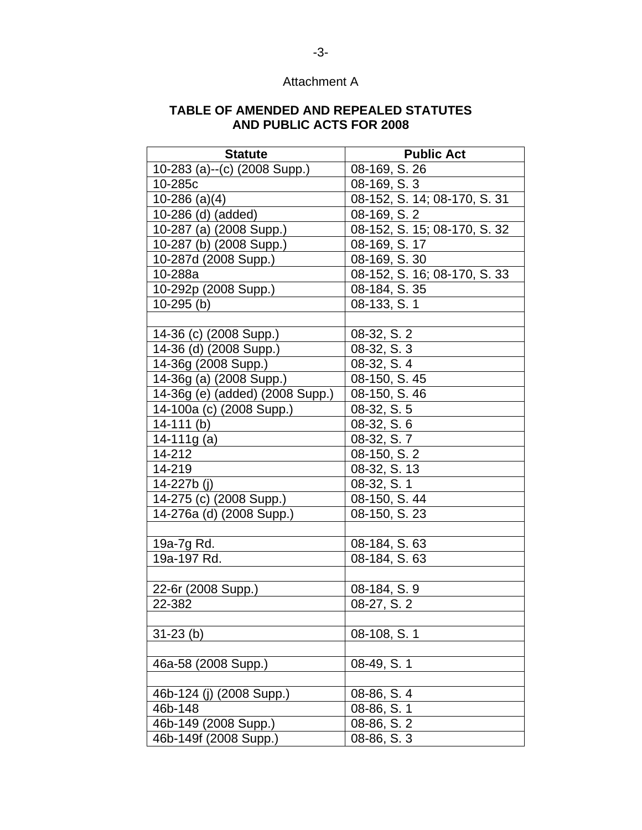| <b>Statute</b>                  | <b>Public Act</b>            |
|---------------------------------|------------------------------|
| 10-283 (a)--(c) (2008 Supp.)    | 08-169, S. 26                |
| 10-285c                         | 08-169, S. 3                 |
| $10-286$ (a)(4)                 | 08-152, S. 14; 08-170, S. 31 |
| 10-286 (d) (added)              | $08-169, S.\overline{2}$     |
| 10-287 (a) (2008 Supp.)         | 08-152, S. 15; 08-170, S. 32 |
| 10-287 (b) (2008 Supp.)         | 08-169, S. 17                |
| 10-287d (2008 Supp.)            | 08-169, S. 30                |
| 10-288a                         | 08-152, S. 16; 08-170, S. 33 |
| 10-292p (2008 Supp.)            | 08-184, S. 35                |
| $10-295$ (b)                    | 08-133, S. 1                 |
|                                 |                              |
| 14-36 (c) (2008 Supp.)          | 08-32, S. 2                  |
| 14-36 (d) (2008 Supp.)          | 08-32, S. 3                  |
| 14-36g (2008 Supp.)             | 08-32, S. 4                  |
| 14-36g (a) (2008 Supp.)         | 08-150, S. 45                |
| 14-36g (e) (added) (2008 Supp.) | 08-150, S. 46                |
| 14-100a (c) (2008 Supp.)        | 08-32, S. 5                  |
| $14-111$ (b)                    | 08-32, S. 6                  |
| 14-111g $(a)$                   | 08-32, S. 7                  |
| 14-212                          | 08-150, S. 2                 |
| 14-219                          | 08-32, S. 13                 |
| 14-227b (j)                     | 08-32, S. 1                  |
| 14-275 (c) (2008 Supp.)         | 08-150, S. 44                |
| 14-276a (d) (2008 Supp.)        | 08-150, S. 23                |
|                                 |                              |
| 19a-7g Rd.                      | 08-184, S. 63                |
| 19a-197 Rd.                     | 08-184, S. 63                |
|                                 |                              |
| 22-6r (2008 Supp.)              | 08-184, S. 9                 |
| 22-382                          | 08-27, S. 2                  |
|                                 |                              |
| $31-23$ (b)                     | 08-108, S. 1                 |
|                                 |                              |
| 46a-58 (2008 Supp.)             | 08-49, S. 1                  |
| 46b-124 (j) (2008 Supp.)        | 08-86, S. 4                  |
| 46b-148                         | 08-86, S. 1                  |
| 46b-149 (2008 Supp.)            | 08-86, S. 2                  |
| 46b-149f (2008 Supp.)           | 08-86, S. 3                  |
|                                 |                              |